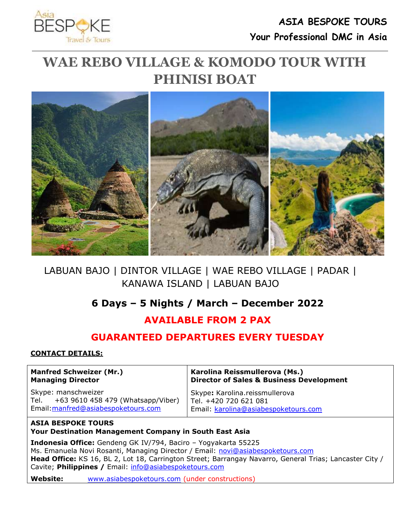

# **WAE REBO VILLAGE & KOMODO TOUR WITH PHINISI BOAT**



### LABUAN BAJO | DINTOR VILLAGE | WAE REBO VILLAGE | PADAR | KANAWA ISLAND | LABUAN BAJO

### **6 Days – 5 Nights / March – December 2022**

## **AVAILABLE FROM 2 PAX**

### **GUARANTEED DEPARTURES EVERY TUESDAY**

#### **CONTACT DETAILS:**

#### **Manfred Schweizer (Mr.) Managing Director**

Skype: manschweizer Tel. +63 9610 458 479 (Whatsapp/Viber) Email[:manfred@asiabespoketours.com](mailto:manfred@asiabespoketours.com)

**Karolina Reissmullerova (Ms.) Director of Sales & Business Development**

Skype**:** Karolina.reissmullerova Tel. +420 720 621 081 Email: [karolina@asiabespoketours.com](mailto:karolina@asiabespoketours.com)

### **ASIA BESPOKE TOURS**

**Your Destination Management Company in South East Asia**

**Indonesia Office:** Gendeng GK IV/794, Baciro – Yogyakarta 55225 Ms. Emanuela Novi Rosanti, Managing Director / Email: [novi@asiabespoketours.com](mailto:novi@asiabespoketours.com) **Head Office:** KS 16, BL 2, Lot 18, Carrington Street; Barrangay Navarro, General Trias; Lancaster City / Cavite; **Philippines /** Email: [info@asiabespoketours.com](mailto:info@asiabespoketours.com)

**Website:** [www.asiabespoketours.com](http://www.asiabespoketours.com/) (under constructions)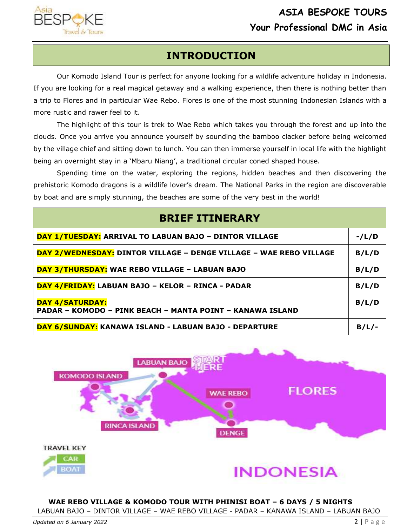

## **INTRODUCTION**

Our Komodo Island Tour is perfect for anyone looking for a wildlife adventure [holiday in Indonesia.](https://www.seeasiadifferently.com/indonesia/) If you are looking for a real magical getaway and a walking experience, then there is nothing better than a trip to Flores and in particular Wae Rebo. [Flores](https://www.seeasiadifferently.com/tour/fabulous-flores/) is one of the most stunning Indonesian Islands with a more rustic and rawer feel to it.

The highlight of this tour is trek to Wae Rebo which takes you through the forest and up into the clouds. Once you arrive you announce yourself by sounding the bamboo clacker before being welcomed by the village chief and sitting down to lunch. You can then immerse yourself in local life with the highlight being an overnight stay in a 'Mbaru Niang', a traditional circular coned shaped house.

Spending time on the water, exploring the regions, hidden beaches and then discovering the prehistoric Komodo dragons is a wildlife lover's dream. The National Parks in the region are discoverable by boat and are simply stunning, the beaches are some of the very best in the world!





**WAE REBO VILLAGE & KOMODO TOUR WITH PHINISI BOAT – 6 DAYS / 5 NIGHTS**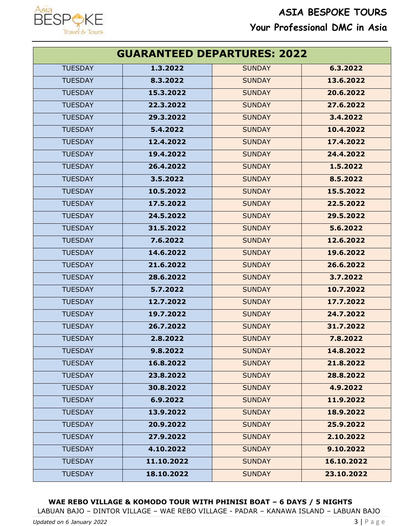

| <b>GUARANTEED DEPARTURES: 2022</b> |            |               |            |
|------------------------------------|------------|---------------|------------|
| <b>TUESDAY</b>                     | 1.3.2022   | <b>SUNDAY</b> | 6.3.2022   |
| <b>TUESDAY</b>                     | 8.3.2022   | <b>SUNDAY</b> | 13.6.2022  |
| <b>TUESDAY</b>                     | 15.3.2022  | <b>SUNDAY</b> | 20.6.2022  |
| <b>TUESDAY</b>                     | 22.3.2022  | <b>SUNDAY</b> | 27.6.2022  |
| <b>TUESDAY</b>                     | 29.3.2022  | <b>SUNDAY</b> | 3.4.2022   |
| <b>TUESDAY</b>                     | 5.4.2022   | <b>SUNDAY</b> | 10.4.2022  |
| <b>TUESDAY</b>                     | 12.4.2022  | <b>SUNDAY</b> | 17.4.2022  |
| <b>TUESDAY</b>                     | 19.4.2022  | <b>SUNDAY</b> | 24.4.2022  |
| <b>TUESDAY</b>                     | 26.4.2022  | <b>SUNDAY</b> | 1.5.2022   |
| <b>TUESDAY</b>                     | 3.5.2022   | <b>SUNDAY</b> | 8.5.2022   |
| <b>TUESDAY</b>                     | 10.5.2022  | <b>SUNDAY</b> | 15.5.2022  |
| <b>TUESDAY</b>                     | 17.5.2022  | <b>SUNDAY</b> | 22.5.2022  |
| <b>TUESDAY</b>                     | 24.5.2022  | <b>SUNDAY</b> | 29.5.2022  |
| <b>TUESDAY</b>                     | 31.5.2022  | <b>SUNDAY</b> | 5.6.2022   |
| <b>TUESDAY</b>                     | 7.6.2022   | <b>SUNDAY</b> | 12.6.2022  |
| <b>TUESDAY</b>                     | 14.6.2022  | <b>SUNDAY</b> | 19.6.2022  |
| <b>TUESDAY</b>                     | 21.6.2022  | <b>SUNDAY</b> | 26.6.2022  |
| <b>TUESDAY</b>                     | 28.6.2022  | <b>SUNDAY</b> | 3.7.2022   |
| <b>TUESDAY</b>                     | 5.7.2022   | <b>SUNDAY</b> | 10.7.2022  |
| <b>TUESDAY</b>                     | 12.7.2022  | <b>SUNDAY</b> | 17.7.2022  |
| <b>TUESDAY</b>                     | 19.7.2022  | <b>SUNDAY</b> | 24.7.2022  |
| <b>TUESDAY</b>                     | 26.7.2022  | <b>SUNDAY</b> | 31.7.2022  |
| <b>TUESDAY</b>                     | 2.8.2022   | <b>SUNDAY</b> | 7.8.2022   |
| <b>TUESDAY</b>                     | 9.8.2022   | <b>SUNDAY</b> | 14.8.2022  |
| <b>TUESDAY</b>                     | 16.8.2022  | <b>SUNDAY</b> | 21.8.2022  |
| <b>TUESDAY</b>                     | 23.8.2022  | <b>SUNDAY</b> | 28.8.2022  |
| <b>TUESDAY</b>                     | 30.8.2022  | <b>SUNDAY</b> | 4.9.2022   |
| <b>TUESDAY</b>                     | 6.9.2022   | <b>SUNDAY</b> | 11.9.2022  |
| <b>TUESDAY</b>                     | 13.9.2022  | <b>SUNDAY</b> | 18.9.2022  |
| <b>TUESDAY</b>                     | 20.9.2022  | <b>SUNDAY</b> | 25.9.2022  |
| <b>TUESDAY</b>                     | 27.9.2022  | <b>SUNDAY</b> | 2.10.2022  |
| <b>TUESDAY</b>                     | 4.10.2022  | <b>SUNDAY</b> | 9.10.2022  |
| <b>TUESDAY</b>                     | 11.10.2022 | <b>SUNDAY</b> | 16.10.2022 |
| <b>TUESDAY</b>                     | 18.10.2022 | <b>SUNDAY</b> | 23.10.2022 |

### **WAE REBO VILLAGE & KOMODO TOUR WITH PHINISI BOAT – 6 DAYS / 5 NIGHTS**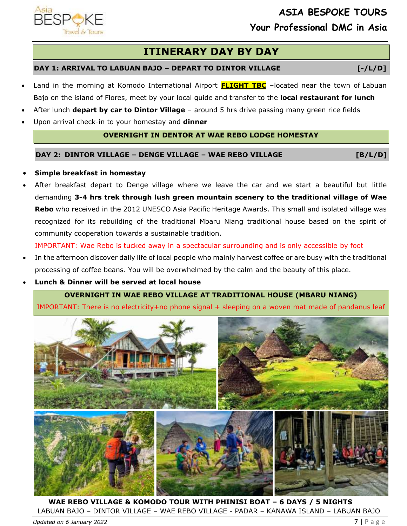## **ITINERARY DAY BY DAY**

#### **DAY 1: ARRIVAL TO LABUAN BAJO – DEPART TO DINTOR VILLAGE [-/L/D]**

- Land in the morning at Komodo International Airport **FLIGHT TBC** –located near the town of Labuan Bajo on the island of Flores, meet by your local guide and transfer to the **local restaurant for lunch**
- After lunch **depart by car to Dintor Village** around 5 hrs drive passing many green rice fields
- Upon arrival check-in to your homestay and **dinner**

#### **OVERNIGHT IN DENTOR AT WAE REBO LODGE HOMESTAY**

#### **DAY 2: DINTOR VILLAGE – DENGE VILLAGE – WAE REBO VILLAGE [B/L/D]**

#### • **Simple breakfast in homestay**

After breakfast depart to Denge village where we leave the car and we start a beautiful but little demanding **3-4 hrs trek through lush green mountain scenery to the traditional village of Wae Rebo** who received in the 2012 UNESCO Asia Pacific Heritage Awards. This small and isolated village was recognized for its rebuilding of the traditional Mbaru Niang traditional house based on the spirit of community cooperation towards a sustainable tradition.

IMPORTANT: Wae Rebo is tucked away in a spectacular surrounding and is only accessible by foot

- In the afternoon discover daily life of local people who mainly harvest coffee or are busy with the traditional processing of coffee beans. You will be overwhelmed by the calm and the beauty of this place.
- **Lunch & Dinner will be served at local house**

#### **OVERNIGHT IN WAE REBO VILLAGE AT TRADITIONAL HOUSE (MBARU NIANG)**

IMPORTANT: There is no electricity+no phone signal + sleeping on a woven mat made of pandanus leaf



**WAE REBO VILLAGE & KOMODO TOUR WITH PHINISI BOAT – 6 DAYS / 5 NIGHTS** LABUAN BAJO – DINTOR VILLAGE – WAE REBO VILLAGE - PADAR – KANAWA ISLAND – LABUAN BAJO

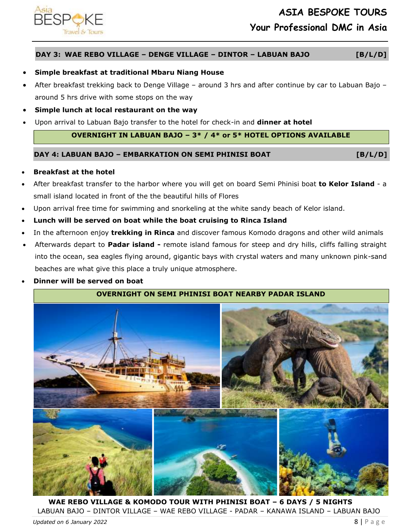

#### **DAY 3: WAE REBO VILLAGE – DENGE VILLAGE – DINTOR – LABUAN BAJO [B/L/D]**

#### • **Simple breakfast at traditional Mbaru Niang House**

- After breakfast trekking back to Denge Village around 3 hrs and after continue by car to Labuan Bajo around 5 hrs drive with some stops on the way
- **Simple lunch at local restaurant on the way**
- Upon arrival to Labuan Bajo transfer to the hotel for check-in and **dinner at hotel**

#### **OVERNIGHT IN LABUAN BAJO – 3\* / 4\* or 5\* HOTEL OPTIONS AVAILABLE**

#### **DAY 4: LABUAN BAJO – EMBARKATION ON SEMI PHINISI BOAT [B/L/D]**

#### • **Breakfast at the hotel**

- After breakfast transfer to the harbor where you will get on board Semi Phinisi boat **to Kelor Island** a small island located in front of the the beautiful hills of Flores
- Upon arrival free time for swimming and snorkeling at the white sandy beach of Kelor island.
- **Lunch will be served on boat while the boat cruising to Rinca Island**
- In the afternoon enjoy **trekking in Rinca** and discover famous Komodo dragons and other wild animals
- Afterwards depart to **Padar island -** remote island famous for steep and dry hills, cliffs falling straight into the ocean, sea eagles flying around, gigantic bays with crystal waters and many unknown pink-sand beaches are what give this place a truly unique atmosphere.
- **Dinner will be served on boat**

#### **OVERNIGHT ON SEMI PHINISI BOAT NEARBY PADAR ISLAND**



**WAE REBO VILLAGE & KOMODO TOUR WITH PHINISI BOAT – 6 DAYS / 5 NIGHTS** LABUAN BAJO – DINTOR VILLAGE – WAE REBO VILLAGE - PADAR – KANAWA ISLAND – LABUAN BAJO *Updated on 6 January 2022* 8 | P a g e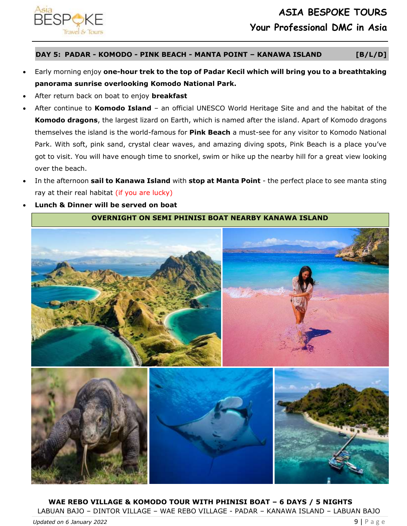

**DAY 5: PADAR - KOMODO - PINK BEACH - MANTA POINT – KANAWA ISLAND [B/L/D]**

- Early morning enjoy **one-hour trek to the top of Padar Kecil which will bring you to a breathtaking panorama sunrise overlooking Komodo National Park.**
- After return back on boat to enjoy **breakfast**
- After continue to **Komodo Island** an official UNESCO World Heritage Site and and the habitat of the **Komodo dragons**, the largest lizard on Earth, which is named after the island. Apart of Komodo dragons themselves the island is the world-famous for **Pink Beach** a must-see for any visitor to Komodo National Park. With soft, pink sand, crystal clear waves, and amazing diving spots, Pink Beach is a place you've got to visit. You will have enough time to snorkel, swim or hike up the nearby hill for a great view looking over the beach.
- In the afternoon **sail to Kanawa Island** with **stop at Manta Point** the perfect place to see manta sting ray at their real habitat (if you are lucky)
- **Lunch & Dinner will be served on boat**





**WAE REBO VILLAGE & KOMODO TOUR WITH PHINISI BOAT – 6 DAYS / 5 NIGHTS** LABUAN BAJO – DINTOR VILLAGE – WAE REBO VILLAGE - PADAR – KANAWA ISLAND – LABUAN BAJO *Updated on 6 January 2022* 9 | P a g e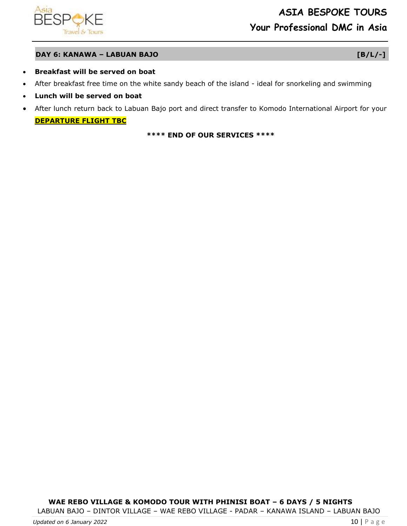

#### **DAY 6: KANAWA – LABUAN BAJO [B/L/-]**

- **Breakfast will be served on boat**
- After breakfast free time on the white sandy beach of the island ideal for snorkeling and swimming
- **Lunch will be served on boat**
- After lunch return back to Labuan Bajo port and direct transfer to Komodo International Airport for your **DEPARTURE FLIGHT TBC**

#### **\*\*\*\* END OF OUR SERVICES \*\*\*\***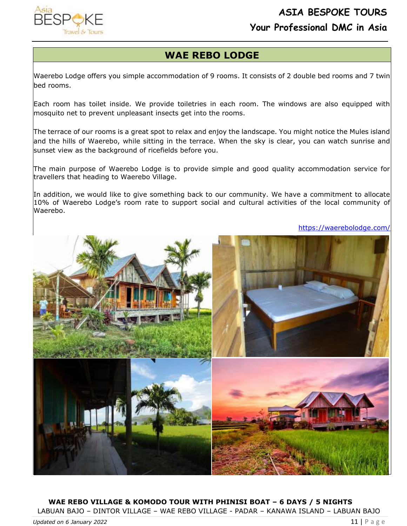

### **WAE REBO LODGE**

Waerebo Lodge offers you simple accommodation of 9 rooms. It consists of 2 double bed rooms and 7 twin bed rooms.

Each room has toilet inside. We provide toiletries in each room. The windows are also equipped with mosquito net to prevent unpleasant insects get into the rooms.

The terrace of our rooms is a great spot to relax and enjoy the landscape. You might notice the Mules island and the hills of Waerebo, while sitting in the terrace. When the sky is clear, you can watch sunrise and sunset view as the background of ricefields before you.

The main purpose of Waerebo Lodge is to provide simple and good quality accommodation service for travellers that heading to Waerebo Village.

In addition, we would like to give something back to our community. We have a commitment to allocate 10% of Waerebo Lodge's room rate to support social and cultural activities of the local community of Waerebo.

<https://waerebolodge.com/>



**WAE REBO VILLAGE & KOMODO TOUR WITH PHINISI BOAT – 6 DAYS / 5 NIGHTS** LABUAN BAJO – DINTOR VILLAGE – WAE REBO VILLAGE - PADAR – KANAWA ISLAND – LABUAN BAJO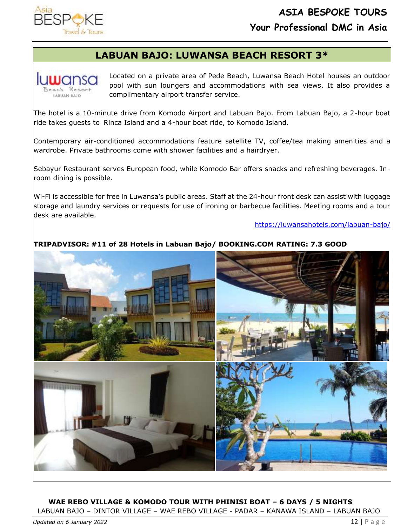## **LABUAN BAJO: LUWANSA BEACH RESORT 3\***

**IULUODS LABUAN BAJO** 

Located on a private area of Pede Beach, Luwansa Beach Hotel houses an outdoor pool with sun loungers and accommodations with sea views. It also provides a complimentary airport transfer service.

The hotel is a 10-minute drive from Komodo Airport and Labuan Bajo. From Labuan Bajo, a 2-hour boat ride takes guests to Rinca Island and a 4-hour boat ride, to Komodo Island.

Contemporary air-conditioned accommodations feature satellite TV, coffee/tea making amenities and a wardrobe. Private bathrooms come with shower facilities and a hairdryer.

Sebayur Restaurant serves European food, while Komodo Bar offers snacks and refreshing beverages. Inroom dining is possible.

Wi-Fi is accessible for free in Luwansa's public areas. Staff at the 24-hour front desk can assist with luggage storage and laundry services or requests for use of ironing or barbecue facilities. Meeting rooms and a tour desk are available.

<https://luwansahotels.com/labuan-bajo/>

### **TRIPADVISOR: #11 of 28 Hotels in Labuan Bajo/ BOOKING.COM RATING: 7.3 GOOD**



### **WAE REBO VILLAGE & KOMODO TOUR WITH PHINISI BOAT – 6 DAYS / 5 NIGHTS**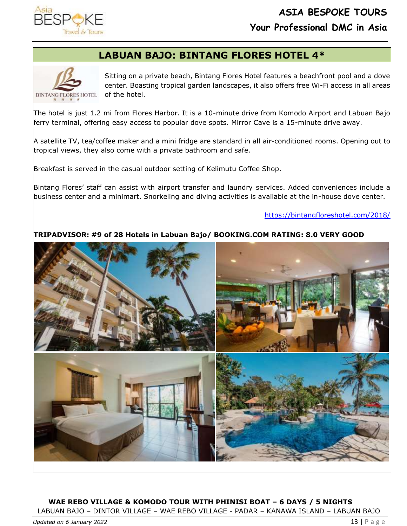### **LABUAN BAJO: BINTANG FLORES HOTEL 4\***



Sitting on a private beach, Bintang Flores Hotel features a beachfront pool and a dove center. Boasting tropical garden landscapes, it also offers free Wi-Fi access in all areas

The hotel is just 1.2 mi from Flores Harbor. It is a 10-minute drive from Komodo Airport and Labuan Bajo ferry terminal, offering easy access to popular dove spots. Mirror Cave is a 15-minute drive away.

A satellite TV, tea/coffee maker and a mini fridge are standard in all air-conditioned rooms. Opening out to tropical views, they also come with a private bathroom and safe.

Breakfast is served in the casual outdoor setting of Kelimutu Coffee Shop.

Bintang Flores' staff can assist with airport transfer and laundry services. Added conveniences include a business center and a minimart. Snorkeling and diving activities is available at the in-house dove center.

#### <https://bintangfloreshotel.com/2018/>

#### **TRIPADVISOR: #9 of 28 Hotels in Labuan Bajo/ BOOKING.COM RATING: 8.0 VERY GOOD**



### **WAE REBO VILLAGE & KOMODO TOUR WITH PHINISI BOAT – 6 DAYS / 5 NIGHTS**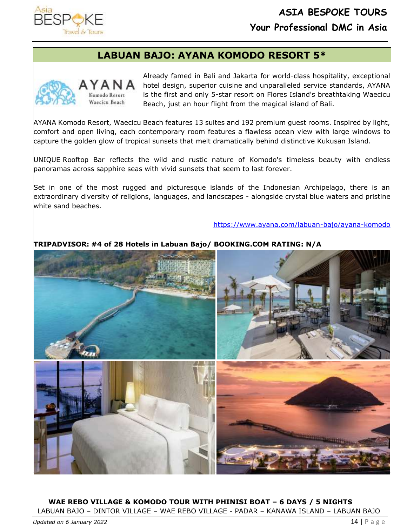

### **LABUAN BAJO: AYANA KOMODO RESORT 5\***



Komodo Resort Waecicu Beach Already famed in Bali and Jakarta for world-class hospitality, exceptional hotel design, superior cuisine and unparalleled service standards, AYANA is the first and only 5-star resort on Flores Island's breathtaking Waecicu Beach, just an hour flight from the magical island of Bali.

AYANA Komodo Resort, Waecicu Beach features 13 suites and 192 premium guest rooms. Inspired by light, comfort and open living, each contemporary room features a flawless ocean view with large windows to capture the golden glow of tropical sunsets that melt dramatically behind distinctive Kukusan Island.

UNIQUE Rooftop Bar reflects the wild and rustic nature of Komodo's timeless beauty with endless panoramas across sapphire seas with vivid sunsets that seem to last forever.

Set in one of the most rugged and picturesque islands of the Indonesian Archipelago, there is an extraordinary diversity of religions, languages, and landscapes - alongside crystal blue waters and pristine white sand beaches.

<https://www.ayana.com/labuan-bajo/ayana-komodo>

#### **TRIPADVISOR: #4 of 28 Hotels in Labuan Bajo/ BOOKING.COM RATING: N/A**



**WAE REBO VILLAGE & KOMODO TOUR WITH PHINISI BOAT – 6 DAYS / 5 NIGHTS** LABUAN BAJO – DINTOR VILLAGE – WAE REBO VILLAGE - PADAR – KANAWA ISLAND – LABUAN BAJO

*Updated on 6 January 2022* 14 | P a g e